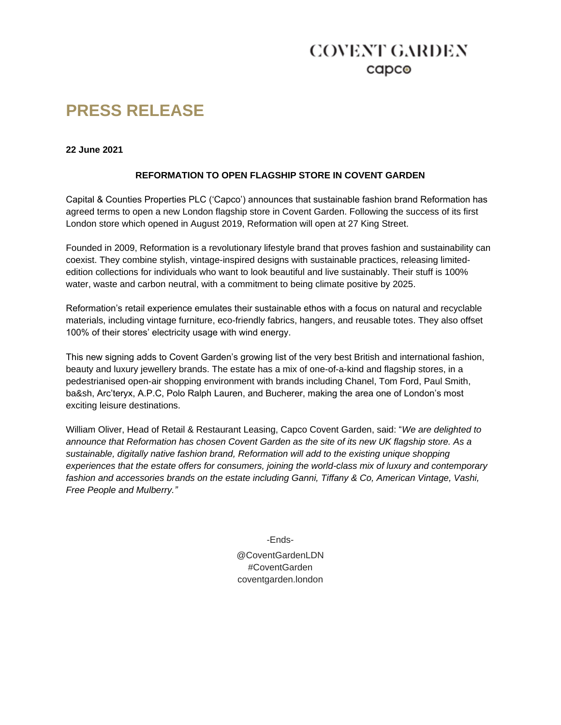# **COVENT GARDEN** capco

# **PRESS RELEASE**

#### **22 June 2021**

# **REFORMATION TO OPEN FLAGSHIP STORE IN COVENT GARDEN**

Capital & Counties Properties PLC ('Capco') announces that sustainable fashion brand Reformation has agreed terms to open a new London flagship store in Covent Garden. Following the success of its first London store which opened in August 2019, Reformation will open at 27 King Street.

Founded in 2009, Reformation is a revolutionary lifestyle brand that proves fashion and sustainability can coexist. They combine stylish, vintage-inspired designs with sustainable practices, releasing limitededition collections for individuals who want to look beautiful and live sustainably. Their stuff is 100% water, waste and carbon neutral, with a commitment to being climate positive by 2025.

Reformation's retail experience emulates their sustainable ethos with a focus on natural and recyclable materials, including vintage furniture, eco-friendly fabrics, hangers, and reusable totes. They also offset 100% of their stores' electricity usage with wind energy.

This new signing adds to Covent Garden's growing list of the very best British and international fashion, beauty and luxury jewellery brands. The estate has a mix of one-of-a-kind and flagship stores, in a pedestrianised open-air shopping environment with brands including Chanel, Tom Ford, Paul Smith, ba&sh, Arc'teryx, A.P.C, Polo Ralph Lauren, and Bucherer, making the area one of London's most exciting leisure destinations.

William Oliver, Head of Retail & Restaurant Leasing, Capco Covent Garden, said: "*We are delighted to announce that Reformation has chosen Covent Garden as the site of its new UK flagship store. As a sustainable, digitally native fashion brand, Reformation will add to the existing unique shopping experiences that the estate offers for consumers, joining the world-class mix of luxury and contemporary fashion and accessories brands on the estate including Ganni, Tiffany & Co, American Vintage, Vashi, Free People and Mulberry."*

-Ends-

@CoventGardenLDN #CoventGarden coventgarden.london